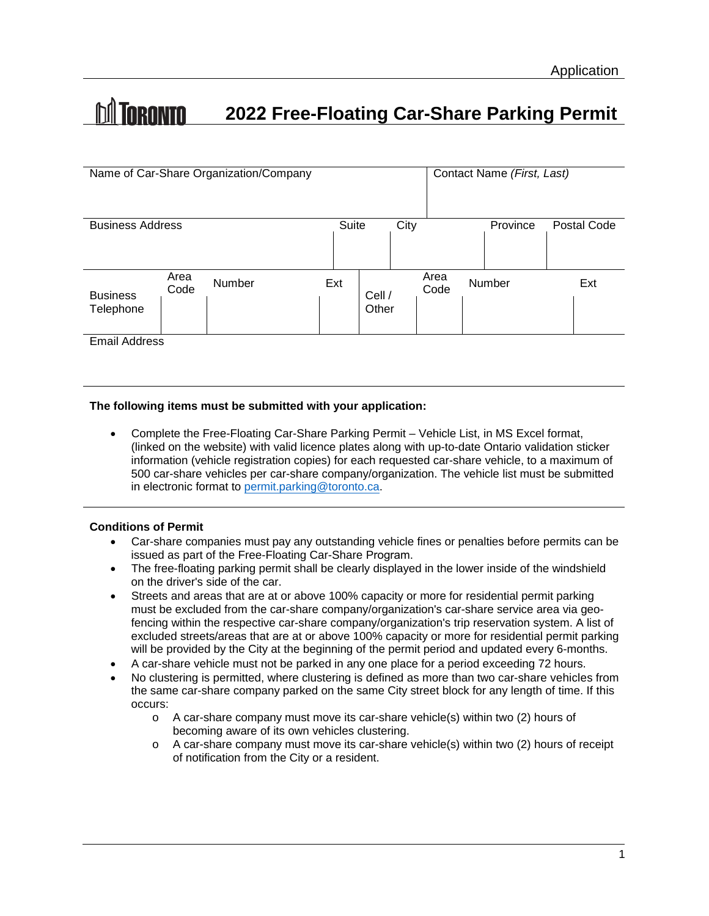# **M** TORONTO **2022 Free-Floating Car-Share Parking Permit**

| Name of Car-Share Organization/Company |              |        |     |                 |  | Contact Name (First, Last) |  |          |             |
|----------------------------------------|--------------|--------|-----|-----------------|--|----------------------------|--|----------|-------------|
|                                        |              |        |     |                 |  |                            |  |          |             |
| <b>Business Address</b>                |              |        |     | Suite           |  | City                       |  | Province | Postal Code |
|                                        |              |        |     |                 |  |                            |  |          |             |
| <b>Business</b><br>Telephone           | Area<br>Code | Number | Ext | Cell /<br>Other |  | Area<br>Code               |  | Number   | Ext         |
|                                        |              |        |     |                 |  |                            |  |          |             |

Email Address

## **The following items must be submitted with your application:**

• Complete the Free-Floating Car-Share Parking Permit – Vehicle List, in MS Excel format, (linked on the website) with valid licence plates along with up-to-date Ontario validation sticker information (vehicle registration copies) for each requested car-share vehicle, to a maximum of 500 car-share vehicles per car-share company/organization. The vehicle list must be submitted in electronic format to permit.parking@toronto.ca.

# **Conditions of Permit**

- Car-share companies must pay any outstanding vehicle fines or penalties before permits can be issued as part of the Free-Floating Car-Share Program.
- The free-floating parking permit shall be clearly displayed in the lower inside of the windshield on the driver's side of the car.
- Streets and areas that are at or above 100% capacity or more for residential permit parking must be excluded from the car-share company/organization's car-share service area via geofencing within the respective car-share company/organization's trip reservation system. A list of excluded streets/areas that are at or above 100% capacity or more for residential permit parking will be provided by the City at the beginning of the permit period and updated every 6-months.
- A car-share vehicle must not be parked in any one place for a period exceeding 72 hours.
- No clustering is permitted, where clustering is defined as more than two car-share vehicles from the same car-share company parked on the same City street block for any length of time. If this occurs:
	- $\circ$  A car-share company must move its car-share vehicle(s) within two (2) hours of becoming aware of its own vehicles clustering.
	- o A car-share company must move its car-share vehicle(s) within two (2) hours of receipt of notification from the City or a resident.